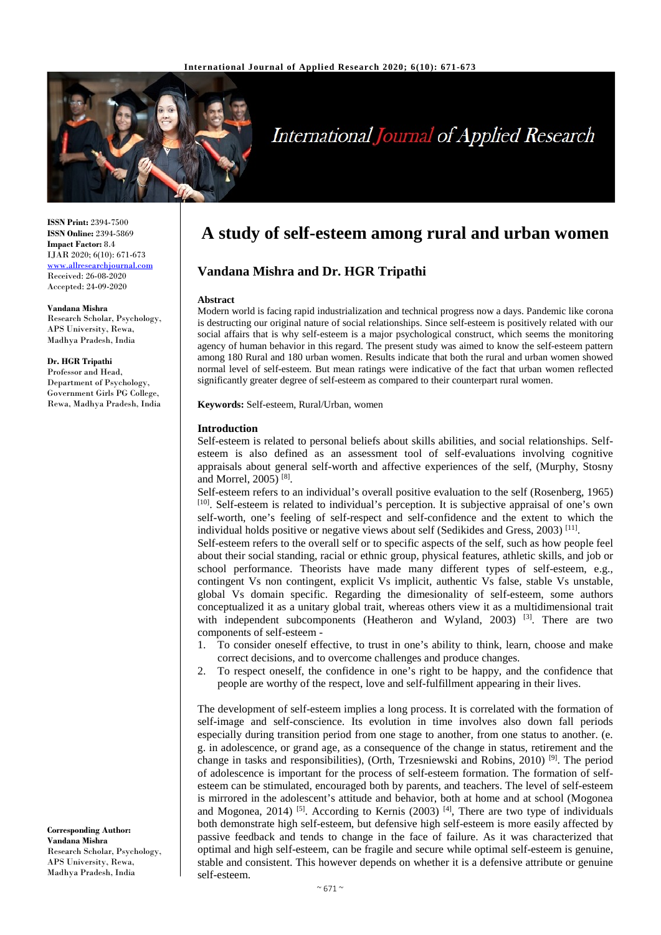

# **International Journal of Applied Research**

**ISSN Print:** 2394-7500 **ISSN Online:** 2394-5869 **Impact Factor:** 8.4 IJAR 2020; 6(10): 671-673 www.allresearchjournal.com Received: 26-08-2020 Accepted: 24-09-2020

**Vandana Mishra** 

Research Scholar, Psychology, APS University, Rewa, Madhya Pradesh, India

**Dr. HGR Tripathi**  Professor and Head, Department of Psychology, Government Girls PG College, Rewa, Madhya Pradesh, India

**Corresponding Author: Vandana Mishra**  Research Scholar, Psychology, APS University, Rewa, Madhya Pradesh, India

# **A study of self-esteem among rural and urban women**

# **Vandana Mishra and Dr. HGR Tripathi**

#### **Abstract**

Modern world is facing rapid industrialization and technical progress now a days. Pandemic like corona is destructing our original nature of social relationships. Since self-esteem is positively related with our social affairs that is why self-esteem is a major psychological construct, which seems the monitoring agency of human behavior in this regard. The present study was aimed to know the self-esteem pattern among 180 Rural and 180 urban women. Results indicate that both the rural and urban women showed normal level of self-esteem. But mean ratings were indicative of the fact that urban women reflected significantly greater degree of self-esteem as compared to their counterpart rural women.

**Keywords:** Self-esteem, Rural/Urban, women

#### **Introduction**

Self-esteem is related to personal beliefs about skills abilities, and social relationships. Selfesteem is also defined as an assessment tool of self-evaluations involving cognitive appraisals about general self-worth and affective experiences of the self, (Murphy, Stosny and Morrel, 2005) [8].

Self-esteem refers to an individual's overall positive evaluation to the self (Rosenberg, 1965) [10]. Self-esteem is related to individual's perception. It is subjective appraisal of one's own self-worth, one's feeling of self-respect and self-confidence and the extent to which the individual holds positive or negative views about self (Sedikides and Gress,  $2003$ )<sup>[11]</sup>.

Self-esteem refers to the overall self or to specific aspects of the self, such as how people feel about their social standing, racial or ethnic group, physical features, athletic skills, and job or school performance. Theorists have made many different types of self-esteem, e.g., contingent Vs non contingent, explicit Vs implicit, authentic Vs false, stable Vs unstable, global Vs domain specific. Regarding the dimesionality of self-esteem, some authors conceptualized it as a unitary global trait, whereas others view it as a multidimensional trait with independent subcomponents (Heatheron and Wyland, 2003)  $^{[3]}$ . There are two components of self-esteem -

- 1. To consider oneself effective, to trust in one's ability to think, learn, choose and make correct decisions, and to overcome challenges and produce changes.
- 2. To respect oneself, the confidence in one's right to be happy, and the confidence that people are worthy of the respect, love and self-fulfillment appearing in their lives.

The development of self-esteem implies a long process. It is correlated with the formation of self-image and self-conscience. Its evolution in time involves also down fall periods especially during transition period from one stage to another, from one status to another. (e. g. in adolescence, or grand age, as a consequence of the change in status, retirement and the change in tasks and responsibilities), (Orth, Trzesniewski and Robins, 2010) <sup>[9]</sup>. The period of adolescence is important for the process of self-esteem formation. The formation of selfesteem can be stimulated, encouraged both by parents, and teachers. The level of self-esteem is mirrored in the adolescent's attitude and behavior, both at home and at school (Mogonea and Mogonea, 2014) <sup>[5]</sup>. According to Kernis (2003) <sup>[4]</sup>, There are two type of individuals both demonstrate high self-esteem, but defensive high self-esteem is more easily affected by passive feedback and tends to change in the face of failure. As it was characterized that optimal and high self-esteem, can be fragile and secure while optimal self-esteem is genuine, stable and consistent. This however depends on whether it is a defensive attribute or genuine self-esteem.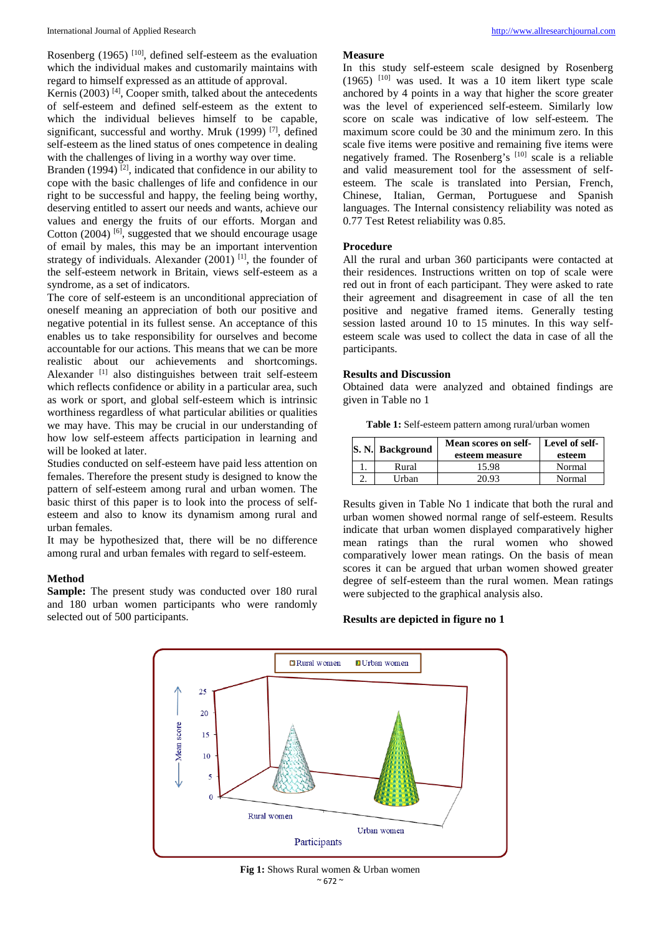Rosenberg (1965) [10], defined self-esteem as the evaluation which the individual makes and customarily maintains with regard to himself expressed as an attitude of approval.

Kernis (2003)  $[4]$ , Cooper smith, talked about the antecedents of self-esteem and defined self-esteem as the extent to which the individual believes himself to be canable. significant, successful and worthy. Mruk (1999) <sup>[7]</sup>, defined self-esteem as the lined status of ones competence in dealing with the challenges of living in a worthy way over time.

Branden (1994)<sup>[2]</sup>, indicated that confidence in our ability to cope with the basic challenges of life and confidence in our right to be successful and happy, the feeling being worthy, deserving entitled to assert our needs and wants, achieve our values and energy the fruits of our efforts. Morgan and Cotton  $(2004)$  [6], suggested that we should encourage usage of email by males, this may be an important intervention strategy of individuals. Alexander  $(2001)$  <sup>[1]</sup>, the founder of the self-esteem network in Britain, views self-esteem as a syndrome, as a set of indicators.

The core of self-esteem is an unconditional appreciation of oneself meaning an appreciation of both our positive and negative potential in its fullest sense. An acceptance of this enables us to take responsibility for ourselves and become accountable for our actions. This means that we can be more realistic about our achievements and shortcomings. Alexander [1] also distinguishes between trait self-esteem which reflects confidence or ability in a particular area, such as work or sport, and global self-esteem which is intrinsic worthiness regardless of what particular abilities or qualities we may have. This may be crucial in our understanding of how low self-esteem affects participation in learning and will be looked at later.

Studies conducted on self-esteem have paid less attention on females. Therefore the present study is designed to know the pattern of self-esteem among rural and urban women. The basic thirst of this paper is to look into the process of selfesteem and also to know its dynamism among rural and urban females.

It may be hypothesized that, there will be no difference among rural and urban females with regard to self-esteem.

## **Method**

**Sample:** The present study was conducted over 180 rural and 180 urban women participants who were randomly selected out of 500 participants.

In this study self-esteem scale designed by Rosenberg  $(1965)$ <sup>[10]</sup> was used. It was a 10 item likert type scale anchored by 4 points in a way that higher the score greater was the level of experienced self-esteem. Similarly low score on scale was indicative of low self-esteem. The maximum score could be 30 and the minimum zero. In this scale five items were positive and remaining five items were negatively framed. The Rosenberg's [10] scale is a reliable and valid measurement tool for the assessment of selfesteem. The scale is translated into Persian, French, Chinese, Italian, German, Portuguese and Spanish languages. The Internal consistency reliability was noted as 0.77 Test Retest reliability was 0.85.

#### **Procedure**

All the rural and urban 360 participants were contacted at their residences. Instructions written on top of scale were red out in front of each participant. They were asked to rate their agreement and disagreement in case of all the ten positive and negative framed items. Generally testing session lasted around 10 to 15 minutes. In this way selfesteem scale was used to collect the data in case of all the participants.

#### **Results and Discussion**

Obtained data were analyzed and obtained findings are given in Table no 1

**Table 1:** Self-esteem pattern among rural/urban women

| S. N. Background | Mean scores on self-<br>esteem measure | Level of self-<br>esteem |
|------------------|----------------------------------------|--------------------------|
| Rural            | 15.98                                  | Normal                   |
| Urban            | 20.93                                  | Normal                   |

Results given in Table No 1 indicate that both the rural and urban women showed normal range of self-esteem. Results indicate that urban women displayed comparatively higher mean ratings than the rural women who showed comparatively lower mean ratings. On the basis of mean scores it can be argued that urban women showed greater degree of self-esteem than the rural women. Mean ratings were subjected to the graphical analysis also.

#### **Results are depicted in figure no 1**



 $~^{\sim}$  672  $~^{\sim}$ **Fig 1:** Shows Rural women & Urban women